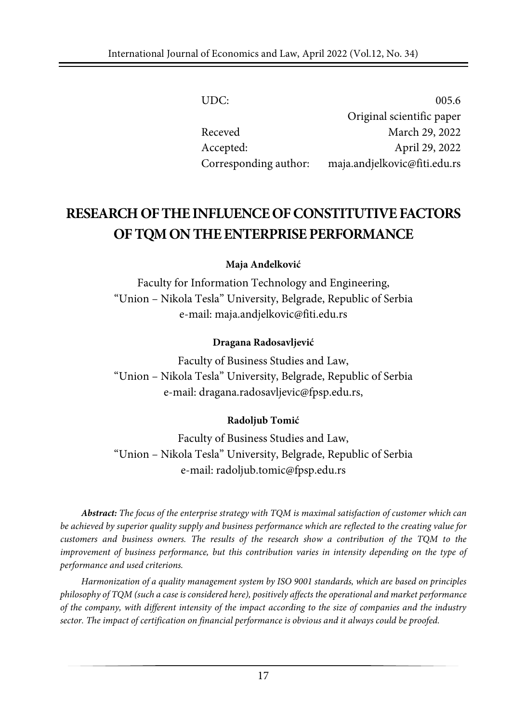| UDC:                  | 005.6                        |
|-----------------------|------------------------------|
|                       | Original scientific paper    |
| Receved               | March 29, 2022               |
| Accepted:             | April 29, 2022               |
| Corresponding author: | maja.andjelkovic@fiti.edu.rs |

# **RESEARCHOFTHEINFLUENCEOFCONSTITUTIVEFACTORS OFTQMON THEENTERPRISEPERFORMANCE**

**Maja Anđelković**

Faculty for Information Technology and Engineering, "Union – Nikola Tesla" University, Belgrade, Republic of Serbia e-mail: [maja.andjelkovic@fiti.edu.rs](mailto:maja.andjelkovic@fiti.edu.rs)

#### **Dragana Radosavljević**

Faculty of Business Studies and Law, "Union – Nikola Tesla" University, Belgrade, Republic of Serbia e-mail: [dragana.radosavljevic@fpsp.edu.rs,](mailto:dragana.radosavljevic@fpsp.edu.rs)

#### **Radoljub Tomić**

Faculty of Business Studies and Law, "Union – Nikola Tesla" University, Belgrade, Republic of Serbia e-mail: [radoljub.tomic@fpsp.edu.rs](mailto:radoljub.tomic@fpsp.edu.rs)

*Abstract: The focus of the enterprise strategy with TQM is maximal satisfaction of customer which can* be achieved by superior quality supply and business performance which are reflected to the creating value for *customers and business owners. The results of the research show a contribution of the TQM to the improvement of business performance, but this contribution varies in intensity depending on the type of performance and used criterions.*

*Harmonization of a quality management system by ISO 9001 standards, which are based on principles philosophy of TQM (such a case is considered here), positively affects the operational and market performance* of the company, with different intensity of the impact according to the size of companies and the industry *sector. The impact of certification on financial performance is obvious and it always could be proofed.*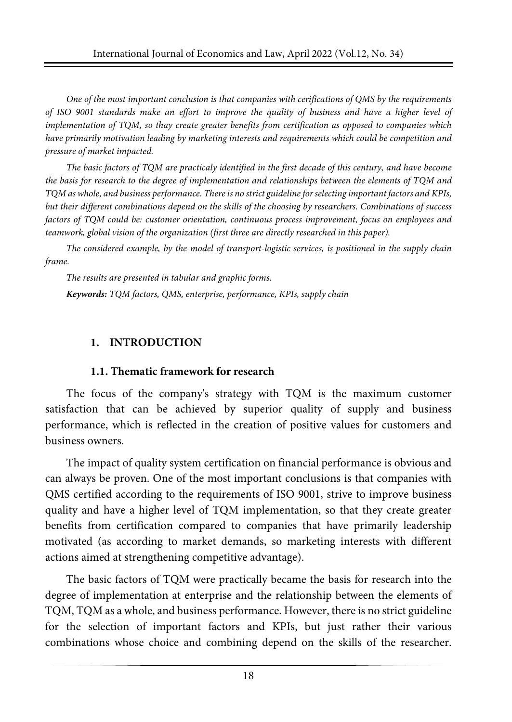*One of the most important conclusion is that companies with cerifications of QMS by the requirements* of ISO 9001 standards make an effort to improve the quality of business and have a higher level of *implementation of TQM, so thay create greater benefits from certification as opposed to companies which have primarily motivation leading by marketing interests and requirements which could be competition and pressure of market impacted.*

The basic factors of TQM are practicaly identified in the first decade of this century, and have become *the basis for research to the degree of implementation and relationships between the elements of TQM and TQM as whole, and business performance. There is no strict guideline forselecting important factors and KPIs, but their different combinations depend on the skills of the choosing by researchers. Combinations of success factors of TQM could be: customer orientation, continuous process improvement, focus on employees and teamwork, global vision of the organization (first three are directly researched in this paper).*

*The considered example, by the model of transport-logistic services, is positioned in the supply chain frame.*

*The results are presented in tabular and graphic forms.*

*Keywords: TQM factors, QMS, enterprise, performance, KPIs, supply chain*

## **1. INTRODUCTION**

#### **1.1. Thematic framework for research**

The focus of the company's strategy with TQM is the maximum customer satisfaction that can be achieved by superior quality of supply and business performance, which is reflected in the creation of positive values for customers and business owners.

The impact of quality system certification on financial performance is obvious and can always be proven. One of the most important conclusions is that companies with QMS certified according to the requirements of ISO 9001, strive to improve business quality and have a higher level of TQM implementation, so that they create greater benefits from certification compared to companies that have primarily leadership motivated (as according to market demands, so marketing interests with different actions aimed at strengthening competitive advantage).

The basic factors of TQM were practically became the basis for research into the degree of implementation at enterprise and the relationship between the elements of TQM, TQM as a whole, and business performance. However, there is no strict guideline for the selection of important factors and KPIs, but just rather their various combinations whose choice and combining depend on the skills of the researcher.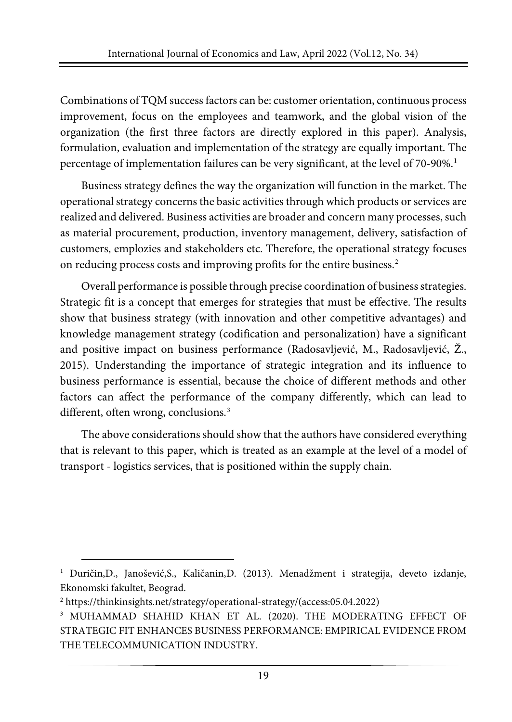Combinations of TQM success factors can be: customer orientation, continuous process improvement, focus on the employees and teamwork, and the global vision of the organization (the first three factors are directly explored in this paper). Analysis, formulation, evaluation and implementation of the strategy are equally important. The percentage of implementation failures can be very significant, at the level of 70-90%.<sup>[1](#page-2-0)</sup>

Business strategy defines the way the organization will function in the market. The operational strategy concerns the basic activities through which products or services are realized and delivered. Business activities are broader and concern many processes, such as material procurement, production, inventory management, delivery, satisfaction of customers, emplozies and stakeholders etc. Therefore, the operational strategy focuses on reducing process costs and improving profits for the entire business.[2](#page-2-1)

Overall performance is possible through precise coordination of business strategies. Strategic fit is a concept that emerges for strategies that must be effective. The results show that business strategy (with innovation and other competitive advantages) and knowledge management strategy (codification and personalization) have a significant and positive impact on business performance (Radosavljević, M., Radosavljević, Ž., 2015). Understanding the importance of strategic integration and its influence to business performance is essential, because the choice of different methods and other factors can affect the performance of the company differently, which can lead to different, often wrong, conclusions.<sup>[3](#page-2-2)</sup>

The above considerations should show that the authors have considered everything that is relevant to this paper, which is treated as an example at the level of a model of transport - logistics services, that is positioned within the supply chain.

<span id="page-2-0"></span><sup>&</sup>lt;sup>1</sup> Đuričin,D., Janošević,S., Kaličanin,Đ. (2013). Menadžment i strategija, deveto izdanje, Ekonomski fakultet, Beograd.

<span id="page-2-1"></span><sup>2</sup> https://thinkinsights.net/strategy/operational-strategy/(access:05.04.2022)

<span id="page-2-2"></span><sup>3</sup> MUHAMMAD SHAHID KHAN ET AL. (2020). THE MODERATING EFFECT OF STRATEGIC FIT ENHANCES BUSINESS PERFORMANCE: EMPIRICAL EVIDENCE FROM THE TELECOMMUNICATION INDUSTRY.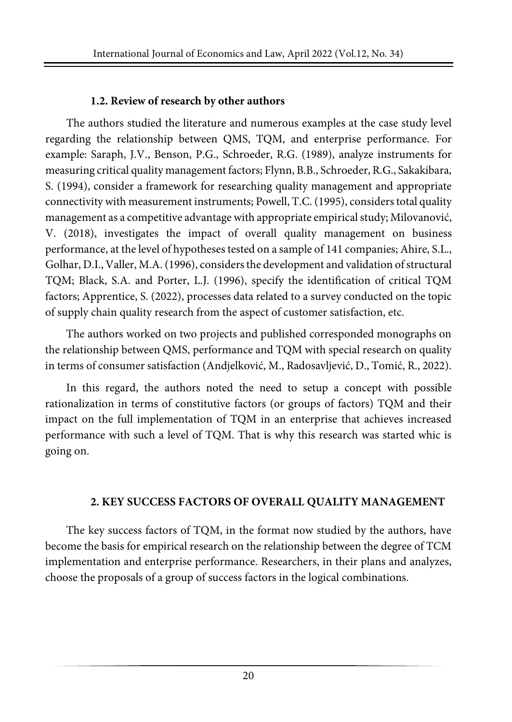#### **1.2. Review of research by other authors**

The authors studied the literature and numerous examples at the case study level regarding the relationship between QMS, TQM, and enterprise performance. For example: Saraph, J.V., Benson, P.G., Schroeder, R.G. (1989), analyze instruments for measuring critical quality management factors; Flynn, B.B., Schroeder, R.G., Sakakibara, S. (1994), consider a framework for researching quality management and appropriate connectivity with measurement instruments; Powell, T.C. (1995), considerstotal quality management as a competitive advantage with appropriate empirical study; Milovanović, V. (2018), investigates the impact of overall quality management on business performance, at the level of hypotheses tested on a sample of 141 companies; Ahire, S.L., Golhar, D.I., Valler, M.A. (1996), considers the development and validation of structural TQM; Black, S.A. and Porter, L.J. (1996), specify the identification of critical TQM factors; Apprentice, S. (2022), processes data related to a survey conducted on the topic of supply chain quality research from the aspect of customer satisfaction, etc.

The authors worked on two projects and published corresponded monographs on the relationship between QMS, performance and TQM with special research on quality in terms of consumer satisfaction (Andjelković, M., Radosavljević, D., Tomić, R., 2022).

In this regard, the authors noted the need to setup a concept with possible rationalization in terms of constitutive factors (or groups of factors) TQM and their impact on the full implementation of TQM in an enterprise that achieves increased performance with such a level of TQM. That is why this research was started whic is going on.

## **2. KEY SUCCESS FACTORS OF OVERALL QUALITY MANAGEMENT**

The key success factors of TQM, in the format now studied by the authors, have become the basis for empirical research on the relationship between the degree of TCM implementation and enterprise performance. Researchers, in their plans and analyzes, choose the proposals of a group of success factors in the logical combinations.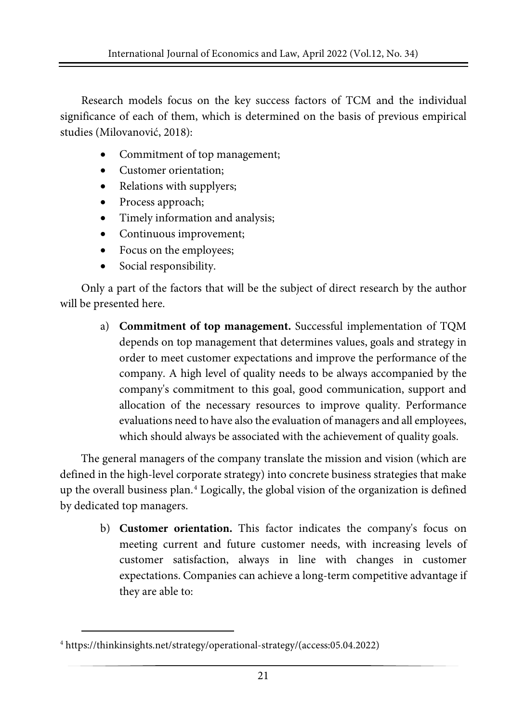Research models focus on the key success factors of TCM and the individual significance of each of them, which is determined on the basis of previous empirical studies (Milovanović, 2018):

- Commitment of top management;
- Customer orientation;
- Relations with supplyers;
- Process approach;
- Timely information and analysis;
- Continuous improvement;
- Focus on the employees;
- Social responsibility.

Only a part of the factors that will be the subject of direct research by the author will be presented here.

a) **Commitment of top management.** Successful implementation of TQM depends on top management that determines values, goals and strategy in order to meet customer expectations and improve the performance of the company. A high level of quality needs to be always accompanied by the company's commitment to this goal, good communication, support and allocation of the necessary resources to improve quality. Performance evaluations need to have also the evaluation of managers and all employees, which should always be associated with the achievement of quality goals.

The general managers of the company translate the mission and vision (which are defined in the high-level corporate strategy) into concrete business strategies that make up the overall business plan. $4$  Logically, the global vision of the organization is defined by dedicated top managers.

b) **Customer orientation.** This factor indicates the company's focus on meeting current and future customer needs, with increasing levels of customer satisfaction, always in line with changes in customer expectations. Companies can achieve a long-term competitive advantage if they are able to:

<span id="page-4-0"></span><sup>4</sup> https://thinkinsights.net/strategy/operational-strategy/(access:05.04.2022)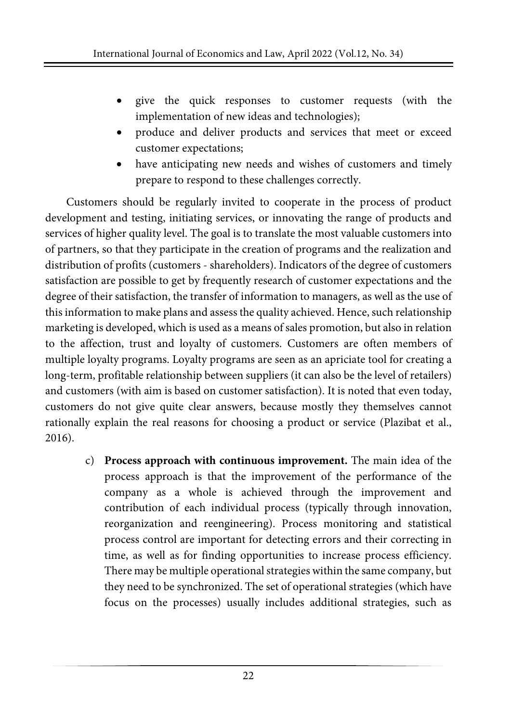- give the quick responses to customer requests (with the implementation of new ideas and technologies);
- produce and deliver products and services that meet or exceed customer expectations;
- have anticipating new needs and wishes of customers and timely prepare to respond to these challenges correctly.

Customers should be regularly invited to cooperate in the process of product development and testing, initiating services, or innovating the range of products and services of higher quality level. The goal is to translate the most valuable customers into of partners, so that they participate in the creation of programs and the realization and distribution of profits (customers - shareholders). Indicators of the degree of customers satisfaction are possible to get by frequently research of customer expectations and the degree of their satisfaction, the transfer of information to managers, as well as the use of this information to make plans and assess the quality achieved. Hence, such relationship marketing is developed, which is used as a means ofsales promotion, but also in relation to the affection, trust and loyalty of customers. Customers are often members of multiple loyalty programs. Loyalty programs are seen as an apriciate tool for creating a long-term, profitable relationship between suppliers (it can also be the level of retailers) and customers (with aim is based on customer satisfaction). It is noted that even today, customers do not give quite clear answers, because mostly they themselves cannot rationally explain the real reasons for choosing a product or service (Plazibat et al., 2016).

c) **Process approach with continuous improvement.** The main idea of the process approach is that the improvement of the performance of the company as a whole is achieved through the improvement and contribution of each individual process (typically through innovation, reorganization and reengineering). Process monitoring and statistical process control are important for detecting errors and their correcting in time, as well as for finding opportunities to increase process efficiency. There may be multiple operational strategies within the same company, but they need to be synchronized. The set of operational strategies (which have focus on the processes) usually includes additional strategies, such as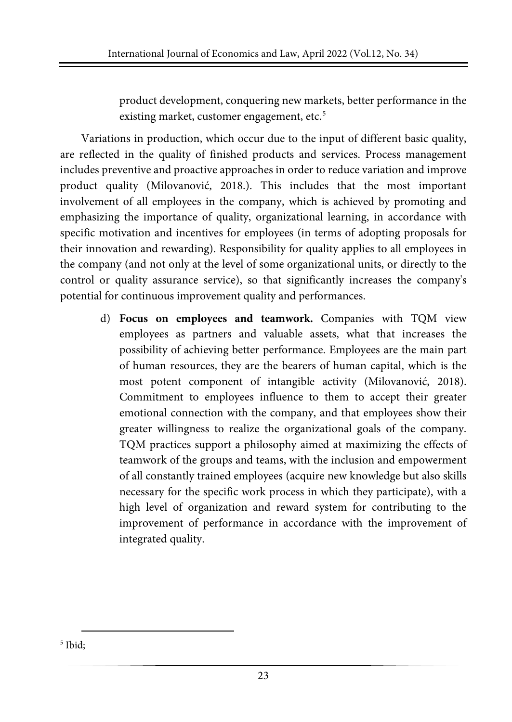product development, conquering new markets, better performance in the existing market, customer engagement, etc.<sup>[5](#page-6-0)</sup>

Variations in production, which occur due to the input of different basic quality, are reflected in the quality of finished products and services. Process management includes preventive and proactive approaches in order to reduce variation and improve product quality (Milovanović, 2018.). This includes that the most important involvement of all employees in the company, which is achieved by promoting and emphasizing the importance of quality, organizational learning, in accordance with specific motivation and incentives for employees (in terms of adopting proposals for their innovation and rewarding). Responsibility for quality applies to all employees in the company (and not only at the level of some organizational units, or directly to the control or quality assurance service), so that significantly increases the company's potential for continuous improvement quality and performances.

d) **Focus on employees and teamwork.** Companies with TQM view employees as partners and valuable assets, what that increases the possibility of achieving better performance. Employees are the main part of human resources, they are the bearers of human capital, which is the most potent component of intangible activity (Milovanović, 2018). Commitment to employees influence to them to accept their greater emotional connection with the company, and that employees show their greater willingness to realize the organizational goals of the company. TQM practices support a philosophy aimed at maximizing the effects of teamwork of the groups and teams, with the inclusion and empowerment of all constantly trained employees (acquire new knowledge but also skills necessary for the specific work process in which they participate), with a high level of organization and reward system for contributing to the improvement of performance in accordance with the improvement of integrated quality.

<span id="page-6-0"></span><sup>5</sup> Ibid;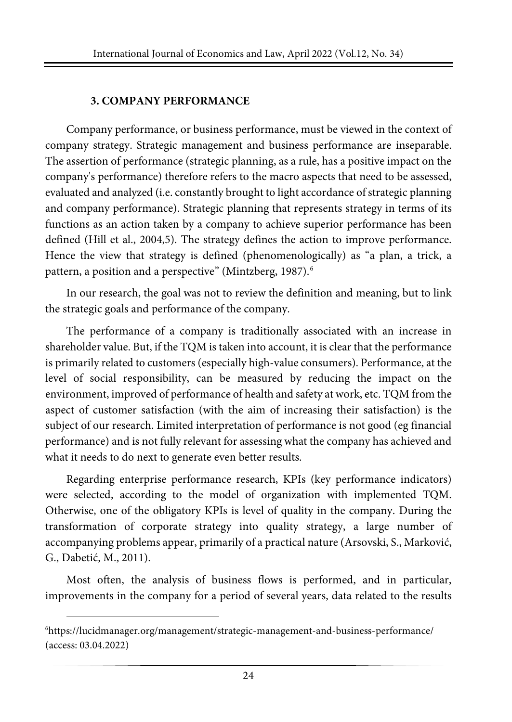#### **3. COMPANY PERFORMANCE**

Company performance, or business performance, must be viewed in the context of company strategy. Strategic management and business performance are inseparable. The assertion of performance (strategic planning, as a rule, has a positive impact on the company's performance) therefore refers to the macro aspects that need to be assessed, evaluated and analyzed (i.e. constantly brought to light accordance of strategic planning and company performance). Strategic planning that represents strategy in terms of its functions as an action taken by a company to achieve superior performance has been defined (Hill et al., 2004,5). The strategy defines the action to improve performance. Hence the view that strategy is defined (phenomenologically) as "a plan, a trick, a pattern, a position and a perspective" (Mintzberg, 1987).<sup>[6](#page-7-0)</sup>

In our research, the goal was not to review the definition and meaning, but to link the strategic goals and performance of the company.

The performance of a company is traditionally associated with an increase in shareholder value. But, if the TQM is taken into account, it is clear that the performance is primarily related to customers (especially high-value consumers). Performance, at the level of social responsibility, can be measured by reducing the impact on the environment, improved of performance of health and safety at work, etc. TQM from the aspect of customer satisfaction (with the aim of increasing their satisfaction) is the subject of our research. Limited interpretation of performance is not good (eg financial performance) and is not fully relevant for assessing what the company has achieved and what it needs to do next to generate even better results.

Regarding enterprise performance research, KPIs (key performance indicators) were selected, according to the model of organization with implemented TQM. Otherwise, one of the obligatory KPIs is level of quality in the company. During the transformation of corporate strategy into quality strategy, a large number of accompanying problems appear, primarily of a practical nature (Arsovski, S., Marković, G., Dabetić, M., 2011).

Most often, the analysis of business flows is performed, and in particular, improvements in the company for a period of several years, data related to the results

<span id="page-7-0"></span><sup>6</sup> https://lucidmanager.org/management/strategic-management-and-business-performance/ (access: 03.04.2022)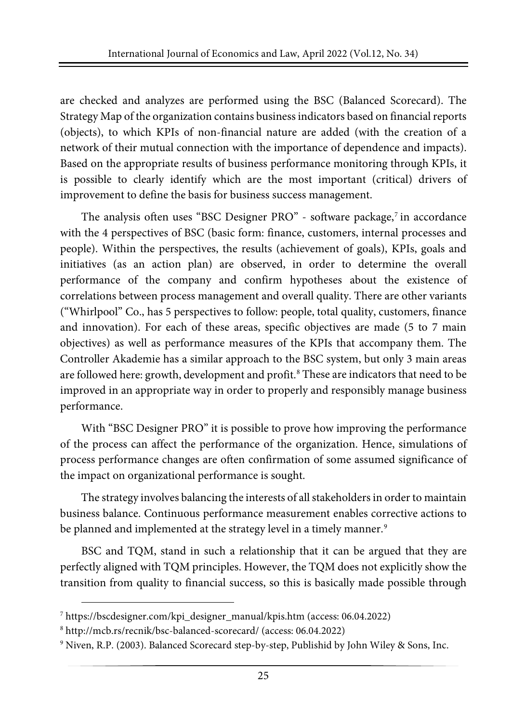are checked and analyzes are performed using the BSC (Balanced Scorecard). The Strategy Map of the organization contains business indicators based on financial reports (objects), to which KPIs of non-financial nature are added (with the creation of a network of their mutual connection with the importance of dependence and impacts). Based on the appropriate results of business performance monitoring through KPIs, it is possible to clearly identify which are the most important (critical) drivers of improvement to define the basis for business success management.

The analysis often uses "BSC Designer PRO" - software package, $\frac{7}{1}$  $\frac{7}{1}$  $\frac{7}{1}$  in accordance with the 4 perspectives of BSC (basic form: finance, customers, internal processes and people). Within the perspectives, the results (achievement of goals), KPIs, goals and initiatives (as an action plan) are observed, in order to determine the overall performance of the company and confirm hypotheses about the existence of correlations between process management and overall quality. There are other variants ("Whirlpool" Co., has 5 perspectives to follow: people, total quality, customers, finance and innovation). For each of these areas, specific objectives are made (5 to 7 main objectives) as well as performance measures of the KPIs that accompany them. The Controller Akademie has a similar approach to the BSC system, but only 3 main areas are followed here: growth, development and profit.<sup>[8](#page-8-1)</sup> These are indicators that need to be improved in an appropriate way in order to properly and responsibly manage business performance.

With "BSC Designer PRO" it is possible to prove how improving the performance of the process can affect the performance of the organization. Hence, simulations of process performance changes are often confirmation of some assumed significance of the impact on organizational performance is sought.

The strategy involves balancing the interests of all stakeholders in order to maintain business balance. Continuous performance measurement enables corrective actions to be planned and implemented at the strategy level in a timely manner.<sup>[9](#page-8-2)</sup>

BSC and TQM, stand in such a relationship that it can be argued that they are perfectly aligned with TQM principles. However, the TQM does not explicitly show the transition from quality to financial success, so this is basically made possible through

<span id="page-8-0"></span><sup>7</sup> [https://bscdesigner.com/kpi\\_designer\\_manual/kpis.htm](https://bscdesigner.com/kpi_designer_manual/kpis.htm) (access: 06.04.2022)

<span id="page-8-1"></span><sup>8</sup> http://mcb.rs/recnik/bsc-balanced-scorecard/ (access: 06.04.2022)

<span id="page-8-2"></span><sup>9</sup> Niven, R.P. (2003). Balanced Scorecard step-by-step, Publishid by John Wiley & Sons, Inc.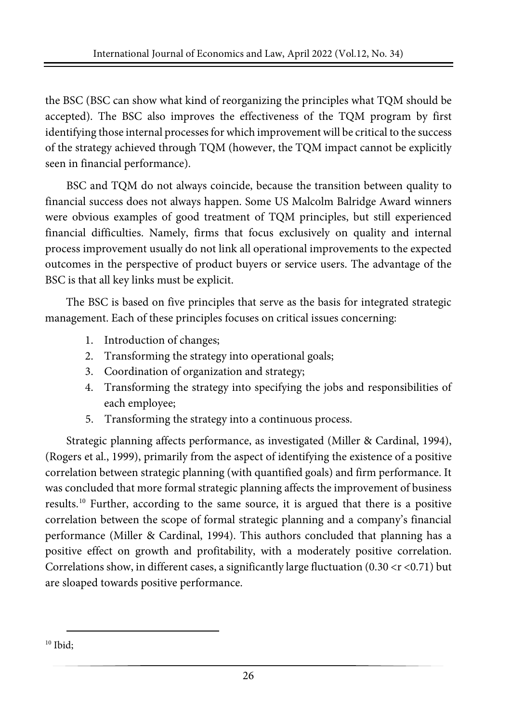the BSC (BSC can show what kind of reorganizing the principles what TQM should be accepted). The BSC also improves the effectiveness of the TQM program by first identifying those internal processes for which improvement will be critical to the success of the strategy achieved through TQM (however, the TQM impact cannot be explicitly seen in financial performance).

BSC and TQM do not always coincide, because the transition between quality to financial success does not always happen. Some US Malcolm Balridge Award winners were obvious examples of good treatment of TQM principles, but still experienced financial difficulties. Namely, firms that focus exclusively on quality and internal process improvement usually do not link all operational improvements to the expected outcomes in the perspective of product buyers or service users. The advantage of the BSC is that all key links must be explicit.

The BSC is based on five principles that serve as the basis for integrated strategic management. Each of these principles focuses on critical issues concerning:

- 1. Introduction of changes;
- 2. Transforming the strategy into operational goals;
- 3. Coordination of organization and strategy;
- 4. Transforming the strategy into specifying the jobs and responsibilities of each employee;
- 5. Transforming the strategy into a continuous process.

Strategic planning affects performance, as investigated (Miller & Cardinal, 1994), (Rogers et al., 1999), primarily from the aspect of identifying the existence of a positive correlation between strategic planning (with quantified goals) and firm performance. It was concluded that more formal strategic planning affects the improvement of business results.[10](#page-9-0) Further, according to the same source, it is argued that there is a positive correlation between the scope of formal strategic planning and a company's financial performance (Miller & Cardinal, 1994). This authors concluded that planning has a positive effect on growth and profitability, with a moderately positive correlation. Correlations show, in different cases, a significantly large fluctuation  $(0.30 < r < 0.71)$  but are sloaped towards positive performance.

<span id="page-9-0"></span><sup>10</sup> Ibid: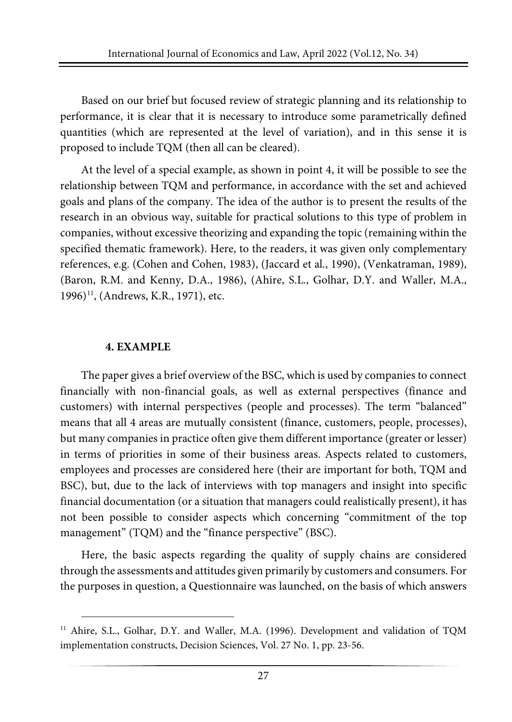Based on our brief but focused review of strategic planning and its relationship to performance, it is clear that it is necessary to introduce some parametrically defined quantities (which are represented at the level of variation), and in this sense it is proposed to include TQM (then all can be cleared).

At the level of a special example, as shown in point 4, it will be possible to see the relationship between TQM and performance, in accordance with the set and achieved goals and plans of the company. The idea of the author is to present the results of the research in an obvious way, suitable for practical solutions to this type of problem in companies, without excessive theorizing and expanding the topic (remaining within the specified thematic framework). Here, to the readers, it was given only complementary references, e.g. (Cohen and Cohen, 1983), (Jaccard et al., 1990), (Venkatraman, 1989), (Baron, R.M. and Kenny, D.A., 1986), (Ahire, S.L., Golhar, D.Y. and Waller, M.A., 1996)<sup>[11](#page-10-0)</sup>, (Andrews, K.R., 1971), etc.

#### **4. EXAMPLE**

The paper gives a brief overview of the BSC, which is used by companies to connect financially with non-financial goals, as well as external perspectives (finance and customers) with internal perspectives (people and processes). The term "balanced" means that all 4 areas are mutually consistent (finance, customers, people, processes), but many companies in practice often give them different importance (greater or lesser) in terms of priorities in some of their business areas. Aspects related to customers, employees and processes are considered here (their are important for both, TQM and BSC), but, due to the lack of interviews with top managers and insight into specific financial documentation (or a situation that managers could realistically present), it has not been possible to consider aspects which concerning "commitment of the top management" (TQM) and the "finance perspective" (BSC).

Here, the basic aspects regarding the quality of supply chains are considered through the assessments and attitudes given primarily by customers and consumers. For the purposes in question, a Questionnaire was launched, on the basis of which answers

<span id="page-10-0"></span><sup>&</sup>lt;sup>11</sup> Ahire, S.L., Golhar, D.Y. and Waller, M.A. (1996). Development and validation of TQM implementation constructs, Decision Sciences, Vol. 27 No. 1, pp. 23-56.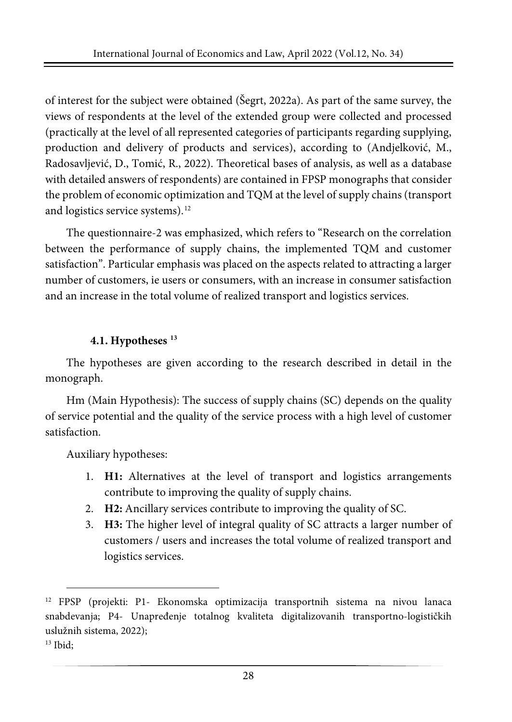of interest for the subject were obtained (Šegrt, 2022a). As part of the same survey, the views of respondents at the level of the extended group were collected and processed (practically at the level of all represented categories of participants regarding supplying, production and delivery of products and services), according to (Andjelković, M., Radosavljević, D., Tomić, R., 2022). Theoretical bases of analysis, as well as a database with detailed answers of respondents) are contained in FPSP monographs that consider the problem of economic optimization and TQM at the level of supply chains (transport and logistics service systems).<sup>[12](#page-11-0)</sup>

The questionnaire-2 was emphasized, which refers to "Research on the correlation between the performance of supply chains, the implemented TQM and customer satisfaction". Particular emphasis was placed on the aspects related to attracting a larger number of customers, ie users or consumers, with an increase in consumer satisfaction and an increase in the total volume of realized transport and logistics services.

# **4.1. Hypotheses [13](#page-11-1)**

The hypotheses are given according to the research described in detail in the monograph.

Hm (Main Hypothesis): The success of supply chains (SC) depends on the quality of service potential and the quality of the service process with a high level of customer satisfaction.

Auxiliary hypotheses:

- 1. **H1:** Alternatives at the level of transport and logistics arrangements contribute to improving the quality of supply chains.
- 2. **H2:** Ancillary services contribute to improving the quality of SC.
- 3. **H3:** The higher level of integral quality of SC attracts a larger number of customers / users and increases the total volume of realized transport and logistics services.

<span id="page-11-1"></span><sup>13</sup> Ibid;

<span id="page-11-0"></span><sup>12</sup> FPSP (projekti: P1- Ekonomska optimizacija transportnih sistema na nivou lanaca snabdevanja; P4- Unapređenje totalnog kvaliteta digitalizovanih transportno-logističkih uslužnih sistema, 2022);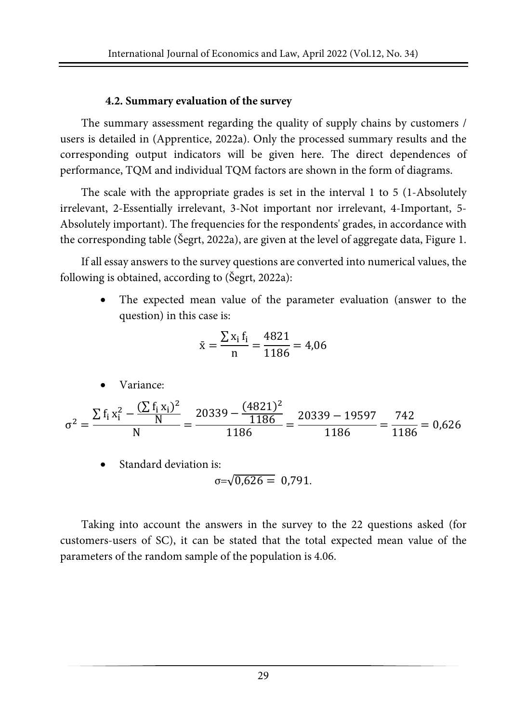#### **4.2. Summary evaluation of the survey**

The summary assessment regarding the quality of supply chains by customers / users is detailed in (Apprentice, 2022a). Only the processed summary results and the corresponding output indicators will be given here. The direct dependences of performance, TQM and individual TQM factors are shown in the form of diagrams.

The scale with the appropriate grades is set in the interval 1 to 5 (1-Absolutely irrelevant, 2-Essentially irrelevant, 3-Not important nor irrelevant, 4-Important, 5- Absolutely important). The frequencies for the respondents' grades, in accordance with the corresponding table (Šegrt, 2022a), are given at the level of aggregate data, Figure 1.

If all essay answers to the survey questions are converted into numerical values, the following is obtained, according to (Šegrt, 2022a):

The expected mean value of the parameter evaluation (answer to the question) in this case is:

$$
\bar{x} = \frac{\sum x_i f_i}{n} = \frac{4821}{1186} = 4,06
$$

Variance:

$$
\sigma^2 = \frac{\sum f_i x_i^2 - \frac{(\sum f_i x_i)^2}{N}}{N} = \frac{20339 - \frac{(4821)^2}{1186}}{1186} = \frac{20339 - 19597}{1186} = \frac{742}{1186} = 0,626
$$

Standard deviation is:

$$
\sigma = \sqrt{0.626} = 0.791.
$$

Taking into account the answers in the survey to the 22 questions asked (for customers-users of SC), it can be stated that the total expected mean value of the parameters of the random sample of the population is 4.06.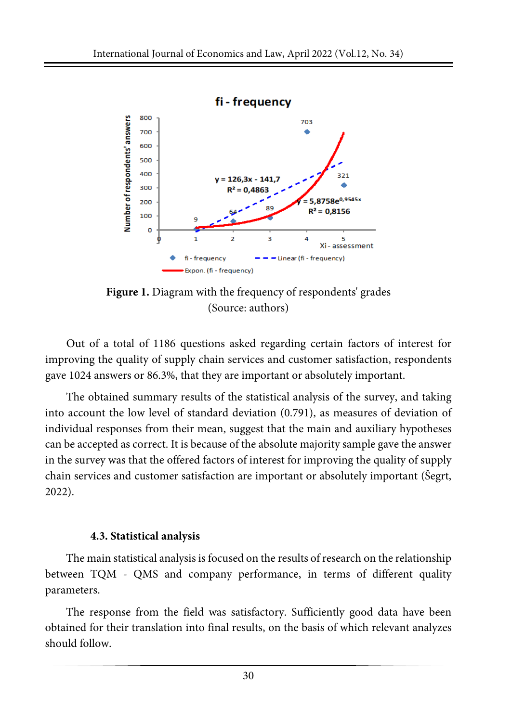

**Figure 1.** Diagram with the frequency of respondents' grades (Source: authors)

Out of a total of 1186 questions asked regarding certain factors of interest for improving the quality of supply chain services and customer satisfaction, respondents gave 1024 answers or 86.3%, that they are important or absolutely important.

The obtained summary results of the statistical analysis of the survey, and taking into account the low level of standard deviation (0.791), as measures of deviation of individual responses from their mean, suggest that the main and auxiliary hypotheses can be accepted as correct. It is because of the absolute majority sample gave the answer in the survey was that the offered factors of interest for improving the quality of supply chain services and customer satisfaction are important or absolutely important (Šegrt, 2022).

#### **4.3. Statistical analysis**

The main statistical analysis is focused on the results ofresearch on the relationship between TQM - QMS and company performance, in terms of different quality parameters.

The response from the field was satisfactory. Sufficiently good data have been obtained for their translation into final results, on the basis of which relevant analyzes should follow.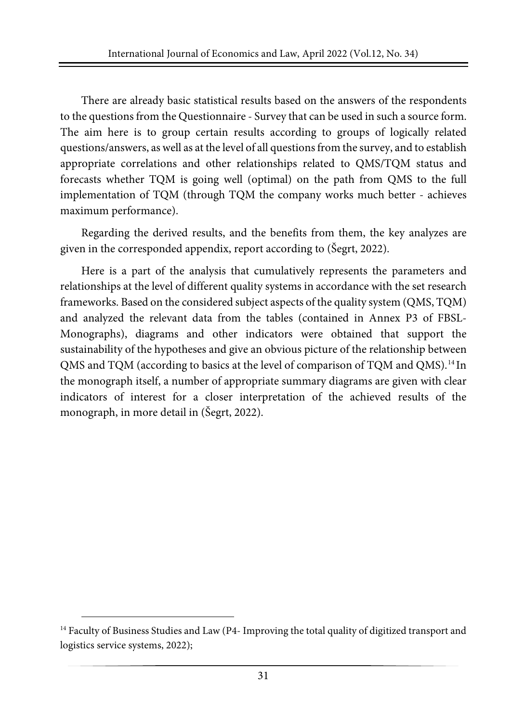There are already basic statistical results based on the answers of the respondents to the questions from the Questionnaire - Survey that can be used in such a source form. The aim here is to group certain results according to groups of logically related questions/answers, as well as at the level of all questionsfrom the survey, and to establish appropriate correlations and other relationships related to QMS/TQM status and forecasts whether TQM is going well (optimal) on the path from QMS to the full implementation of TQM (through TQM the company works much better - achieves maximum performance).

Regarding the derived results, and the benefits from them, the key analyzes are given in the corresponded appendix, report according to (Šegrt, 2022).

Here is a part of the analysis that cumulatively represents the parameters and relationships at the level of different quality systems in accordance with the set research frameworks. Based on the considered subject aspects of the quality system (QMS, TQM) and analyzed the relevant data from the tables (contained in Annex P3 of FBSL-Monographs), diagrams and other indicators were obtained that support the sustainability of the hypotheses and give an obvious picture of the relationship between QMS and TQM (according to basics at the level of comparison of TQM and QMS).<sup>[14](#page-14-0)</sup> In the monograph itself, a number of appropriate summary diagrams are given with clear indicators of interest for a closer interpretation of the achieved results of the monograph, in more detail in (Šegrt, 2022).

<span id="page-14-0"></span><sup>&</sup>lt;sup>14</sup> Faculty of Business Studies and Law (P4- Improving the total quality of digitized transport and logistics service systems, 2022);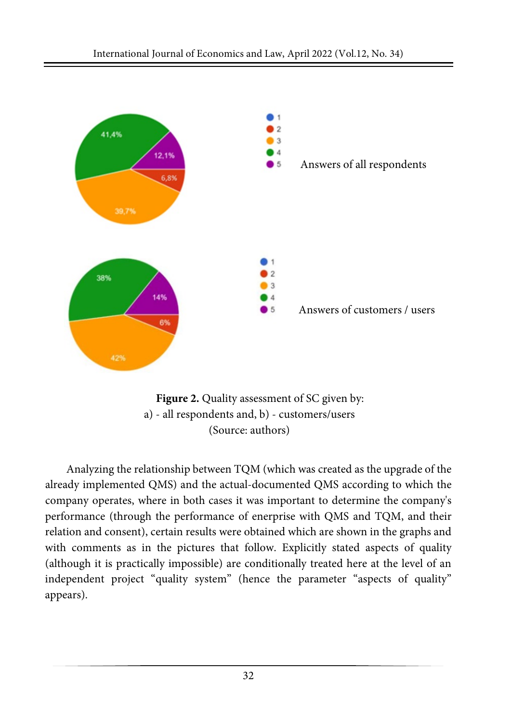



Analyzing the relationship between TQM (which was created as the upgrade of the already implemented QMS) and the actual-documented QMS according to which the company operates, where in both cases it was important to determine the company's performance (through the performance of enerprise with QMS and TQM, and their relation and consent), certain results were obtained which are shown in the graphs and with comments as in the pictures that follow. Explicitly stated aspects of quality (although it is practically impossible) are conditionally treated here at the level of an independent project "quality system" (hence the parameter "aspects of quality" appears).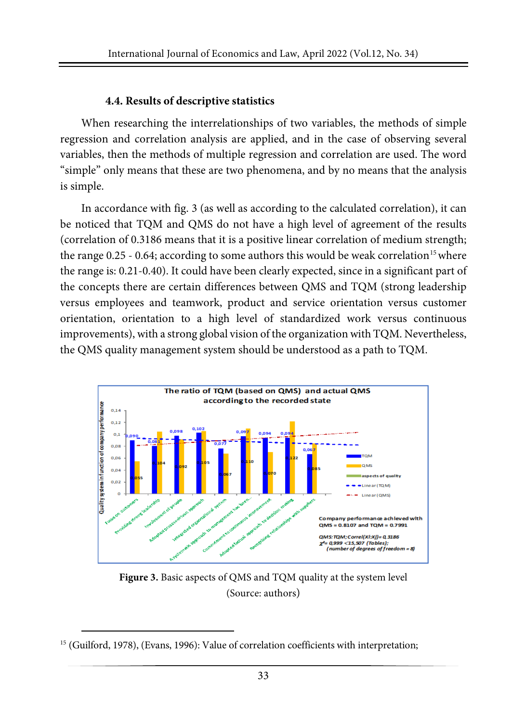#### **4.4. Results of descriptive statistics**

When researching the interrelationships of two variables, the methods of simple regression and correlation analysis are applied, and in the case of observing several variables, then the methods of multiple regression and correlation are used. The word "simple" only means that these are two phenomena, and by no means that the analysis is simple.

In accordance with fig. 3 (as well as according to the calculated correlation), it can be noticed that TQM and QMS do not have a high level of agreement of the results (correlation of 0.3186 means that it is a positive linear correlation of medium strength; the range  $0.25 - 0.64$ ; according to some authors this would be weak correlation<sup>[15](#page-16-0)</sup> where the range is: 0.21-0.40). It could have been clearly expected, since in a significant part of the concepts there are certain differences between QMS and TQM (strong leadership versus employees and teamwork, product and service orientation versus customer orientation, orientation to a high level of standardized work versus continuous improvements), with a strong global vision of the organization with TQM. Nevertheless, the QMS quality management system should be understood as a path to TQM.



**Figure 3.** Basic aspects of QMS and TQM quality at the system level (Source: authors)

<span id="page-16-0"></span><sup>&</sup>lt;sup>15</sup> (Guilford, 1978), (Evans, 1996): Value of correlation coefficients with interpretation;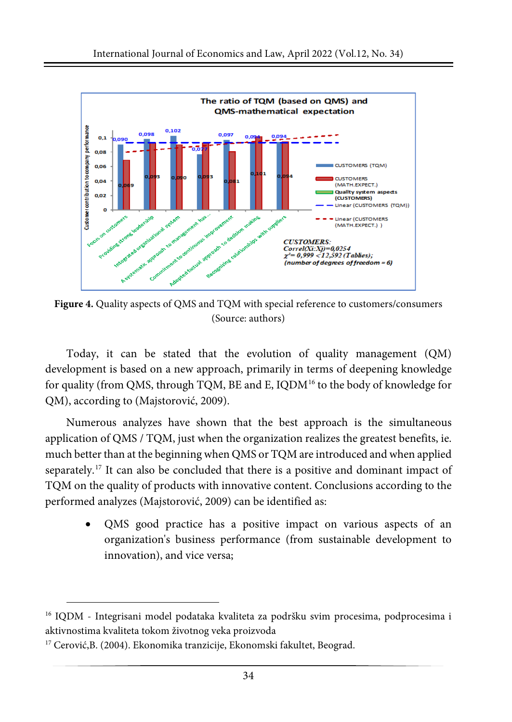

**Figure 4.** Quality aspects of QMS and TQM with special reference to customers/consumers (Source: authors)

Today, it can be stated that the evolution of quality management (QM) development is based on a new approach, primarily in terms of deepening knowledge for quality (from QMS, through TQM, BE and E, IQDM<sup>[16](#page-17-0)</sup> to the body of knowledge for QM), according to (Majstorović, 2009).

Numerous analyzes have shown that the best approach is the simultaneous application of QMS / TQM, just when the organization realizes the greatest benefits, ie. much better than at the beginning when QMS or TQM are introduced and when applied separately.<sup>[17](#page-17-1)</sup> It can also be concluded that there is a positive and dominant impact of TQM on the quality of products with innovative content. Conclusions according to the performed analyzes (Majstorović, 2009) can be identified as:

• QMS good practice has a positive impact on various aspects of an organization's business performance (from sustainable development to innovation), and vice versa;

<span id="page-17-0"></span><sup>&</sup>lt;sup>16</sup> IQDM - Integrisani model podataka kvaliteta za podršku svim procesima, podprocesima i aktivnostima kvaliteta tokom životnog veka proizvoda

<span id="page-17-1"></span><sup>17</sup> Cerović,B. (2004). Ekonomika tranzicije, Ekonomski fakultet, Beograd.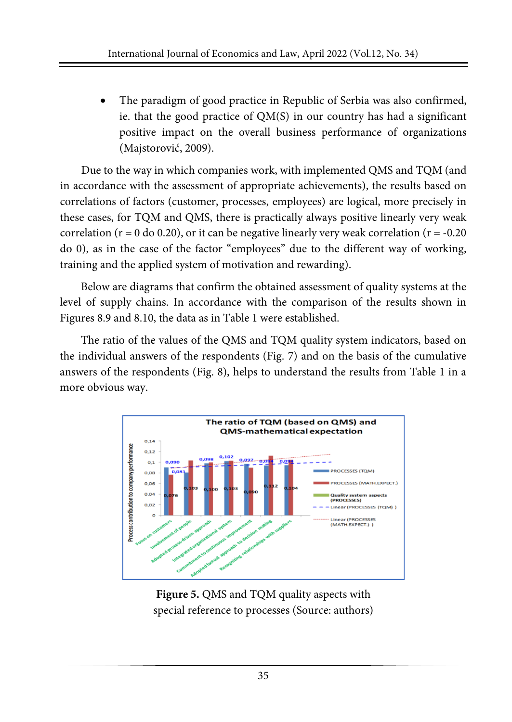The paradigm of good practice in Republic of Serbia was also confirmed, ie. that the good practice of QM(S) in our country has had a significant positive impact on the overall business performance of organizations (Majstorović, 2009).

Due to the way in which companies work, with implemented QMS and TQM (and in accordance with the assessment of appropriate achievements), the results based on correlations of factors (customer, processes, employees) are logical, more precisely in these cases, for TQM and QMS, there is practically always positive linearly very weak correlation ( $r = 0$  do 0.20), or it can be negative linearly very weak correlation ( $r = -0.20$ ) do 0), as in the case of the factor "employees" due to the different way of working, training and the applied system of motivation and rewarding).

Below are diagrams that confirm the obtained assessment of quality systems at the level of supply chains. In accordance with the comparison of the results shown in Figures 8.9 and 8.10, the data as in Table 1 were established.

The ratio of the values of the QMS and TQM quality system indicators, based on the individual answers of the respondents (Fig. 7) and on the basis of the cumulative answers of the respondents (Fig. 8), helps to understand the results from Table 1 in a more obvious way.



**Figure 5.** QMS and TQM quality aspects with special reference to processes (Source: authors)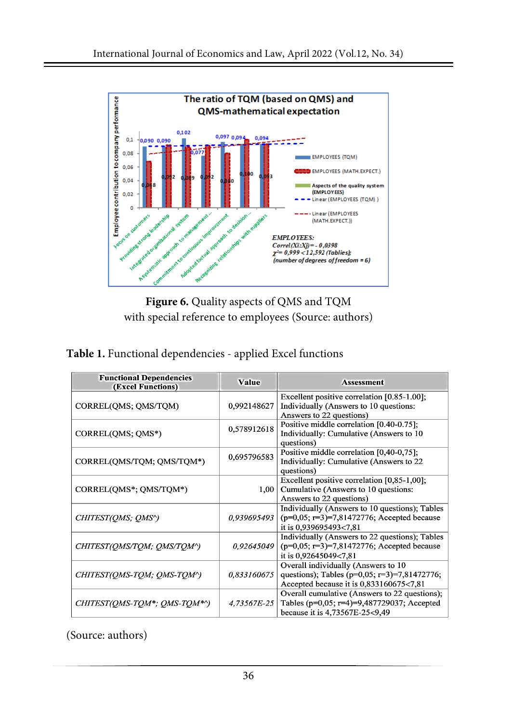

**Figure 6.** Quality aspects of QMS and TQM with special reference to employees (Source: authors)

|  |  | Table 1. Functional dependencies - applied Excel functions |  |
|--|--|------------------------------------------------------------|--|
|--|--|------------------------------------------------------------|--|

| <b>Functional Dependencies</b><br>(Excel Functions) | <b>Value</b> | <b>Assessment</b>                                                                                                                     |
|-----------------------------------------------------|--------------|---------------------------------------------------------------------------------------------------------------------------------------|
| CORREL(QMS; QMS/TQM)                                | 0,992148627  | Excellent positive correlation [0.85-1.00];<br>Individually (Answers to 10 questions:<br>Answers to 22 questions)                     |
| CORREL(QMS; QMS*)                                   | 0,578912618  | Positive middle correlation [0.40-0.75];<br>Individually: Cumulative (Answers to 10<br>questions)                                     |
| CORREL(QMS/TQM; QMS/TQM*)                           | 0,695796583  | Positive middle correlation [0,40-0,75];<br>Individually: Cumulative (Answers to 22<br>questions)                                     |
| CORREL(QMS*; QMS/TQM*)                              | 1,00         | Excellent positive correlation [0,85-1,00];<br>Cumulative (Answers to 10 questions:<br>Answers to 22 questions)                       |
| CHITEST(OMS; OMS^)                                  | 0.939695493  | Individually (Answers to 10 questions); Tables<br>$(p=0.05; r=3)=7,81472776;$ Accepted because<br>it is 0,939695493<7,81              |
| CHITEST(OMS/TOM; OMS/TOM^)                          | 0,92645049   | Individually (Answers to 22 questions); Tables<br>$(p=0.05; r=3)=7,81472776;$ Accepted because<br>it is 0,92645049<7,81               |
| CHITEST(OMS-TOM; OMS-TOM^)                          | 0,833160675  | Overall individually (Answers to 10<br>questions); Tables ( $p=0.05$ ; $r=3$ )=7,81472776;<br>Accepted because it is 0,833160675<7,81 |
| CHITEST(OMS-TOM*; OMS-TOM*^)                        | 4.73567E-25  | Overall cumulative (Answers to 22 questions);<br>Tables ( $p=0.05$ ; $r=4$ )=9,487729037; Accepted<br>because it is 4,73567E-25<9,49  |

(Source: authors)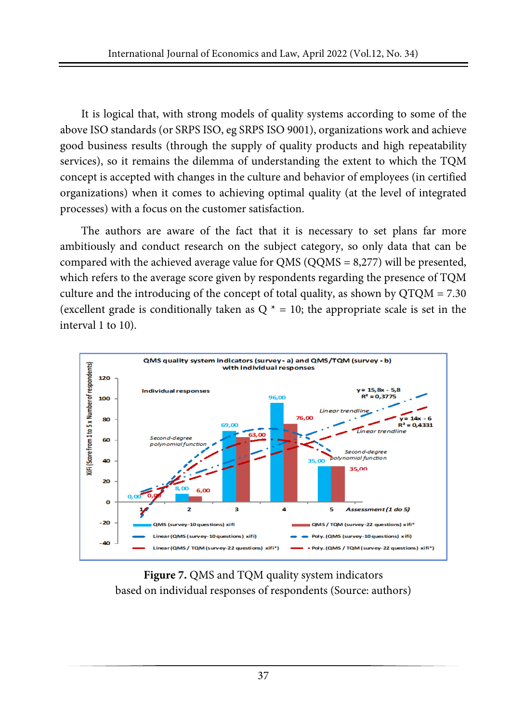It is logical that, with strong models of quality systems according to some of the above ISO standards (or SRPS ISO, eg SRPS ISO 9001), organizations work and achieve good business results (through the supply of quality products and high repeatability services), so it remains the dilemma of understanding the extent to which the TQM concept is accepted with changes in the culture and behavior of employees (in certified organizations) when it comes to achieving optimal quality (at the level of integrated processes) with a focus on the customer satisfaction.

The authors are aware of the fact that it is necessary to set plans far more ambitiously and conduct research on the subject category, so only data that can be compared with the achieved average value for QMS (QQMS = 8,277) will be presented, which refers to the average score given by respondents regarding the presence of TQM culture and the introducing of the concept of total quality, as shown by  $QTQM = 7.30$ (excellent grade is conditionally taken as  $Q^* = 10$ ; the appropriate scale is set in the interval 1 to 10).



**Figure 7.** QMS and TQM quality system indicators based on individual responses of respondents (Source: authors)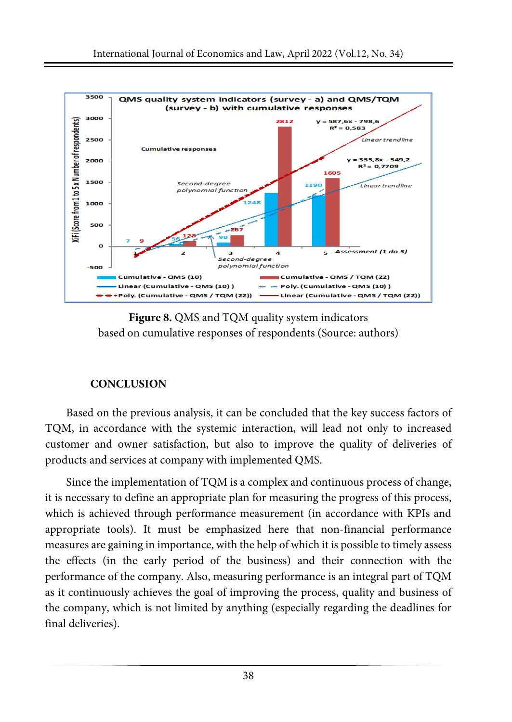

**Figure 8.** QMS and TQM quality system indicators based on cumulative responses of respondents (Source: authors)

# **CONCLUSION**

Based on the previous analysis, it can be concluded that the key success factors of TQM, in accordance with the systemic interaction, will lead not only to increased customer and owner satisfaction, but also to improve the quality of deliveries of products and services at company with implemented QMS.

Since the implementation of TQM is a complex and continuous process of change, it is necessary to define an appropriate plan for measuring the progress of this process, which is achieved through performance measurement (in accordance with KPIs and appropriate tools). It must be emphasized here that non-financial performance measures are gaining in importance, with the help of which it is possible to timely assess the effects (in the early period of the business) and their connection with the performance of the company. Also, measuring performance is an integral part of TQM as it continuously achieves the goal of improving the process, quality and business of the company, which is not limited by anything (especially regarding the deadlines for final deliveries).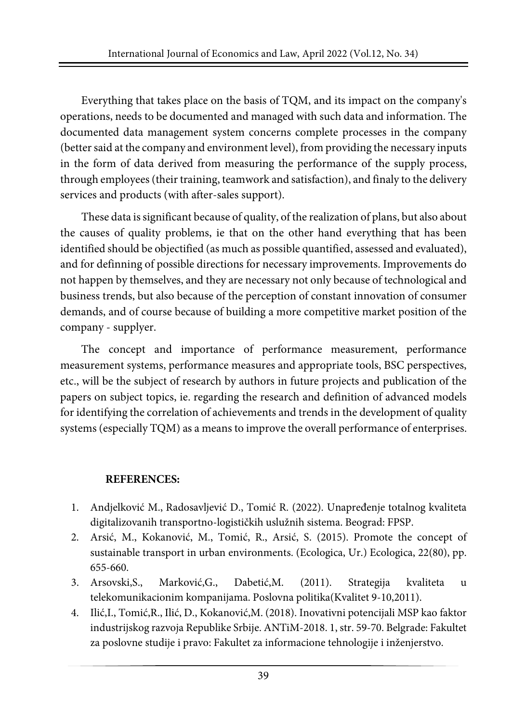Everything that takes place on the basis of TQM, and its impact on the company's operations, needs to be documented and managed with such data and information. The documented data management system concerns complete processes in the company (better said at the company and environment level), from providing the necessary inputs in the form of data derived from measuring the performance of the supply process, through employees (their training, teamwork and satisfaction), and finaly to the delivery services and products (with after-sales support).

These data issignificant because of quality, of the realization of plans, but also about the causes of quality problems, ie that on the other hand everything that has been identified should be objectified (as much as possible quantified, assessed and evaluated), and for definning of possible directions for necessary improvements. Improvements do not happen by themselves, and they are necessary not only because of technological and business trends, but also because of the perception of constant innovation of consumer demands, and of course because of building a more competitive market position of the company - supplyer.

The concept and importance of performance measurement, performance measurement systems, performance measures and appropriate tools, BSC perspectives, etc., will be the subject of research by authors in future projects and publication of the papers on subject topics, ie. regarding the research and definition of advanced models for identifying the correlation of achievements and trends in the development of quality systems (especially TQM) as a means to improve the overall performance of enterprises.

## **REFERENCES:**

- 1. Andjelković M., Radosavljević D., Tomić R. (2022). Unapređenje totalnog kvaliteta digitalizovanih transportno-logističkih uslužnih sistema. Beograd: FPSP.
- 2. Arsić, M., Kokanović, M., Tomić, R., Arsić, S. (2015). Promote the concept of sustainable transport in urban environments. (Ecologica, Ur.) Ecologica, 22(80), pp. 655-660.
- 3. Arsovski,S., Marković,G., Dabetić,M. (2011). Strategija kvaliteta u telekomunikacionim kompanijama. Poslovna politika(Kvalitet 9-10,2011).
- 4. Ilić,I., Tomić,R., Ilić, D., Kokanović,M. (2018). Inovativni potencijali MSP kao faktor industrijskog razvoja Republike Srbije. ANTiM-2018. 1, str. 59-70. Belgrade: Fakultet za poslovne studije i pravo: Fakultet za informacione tehnologije i inženjerstvo.